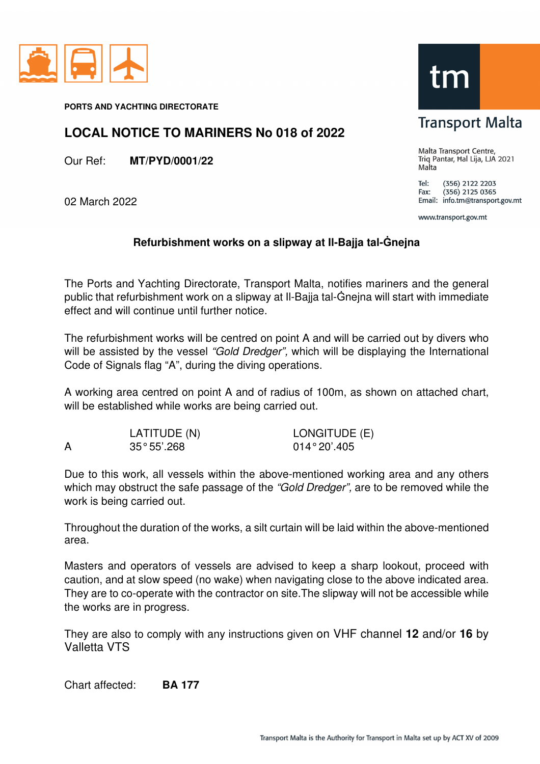

**PORTS AND YACHTING DIRECTORATE** 

#### **LOCAL NOTICE TO MARINERS No 018 of 2022**

Our Ref: **MT/PYD/0001/22** 

02 March 2022

### **Transport Malta**

Malta Transport Centre, Triq Pantar, Hal Lija, LJA 2021 Malta

Tel: (356) 2122 2203  $(356)$  2125 0365 Fax: Email: info.tm@transport.gov.mt

www.transport.gov.mt

#### **Refurbishment works on a slipway at Il-Bajja tal-Ġnejna**

The Ports and Yachting Directorate, Transport Malta, notifies mariners and the general public that refurbishment work on a slipway at Il-Bajja tal-Ġnejna will start with immediate effect and will continue until further notice.

The refurbishment works will be centred on point A and will be carried out by divers who will be assisted by the vessel "Gold Dredger", which will be displaying the International Code of Signals flag "A", during the diving operations.

A working area centred on point A and of radius of 100m, as shown on attached chart, will be established while works are being carried out.

| LATITUDE (N)         | LONGITUDE (E)  |
|----------------------|----------------|
| $35^{\circ}55'$ .268 | $014°20'$ .405 |

Due to this work, all vessels within the above-mentioned working area and any others which may obstruct the safe passage of the "Gold Dredger", are to be removed while the work is being carried out.

Throughout the duration of the works, a silt curtain will be laid within the above-mentioned area.

Masters and operators of vessels are advised to keep a sharp lookout, proceed with caution, and at slow speed (no wake) when navigating close to the above indicated area. They are to co-operate with the contractor on site.The slipway will not be accessible while the works are in progress.

They are also to comply with any instructions given on VHF channel **12** and/or **16** by Valletta VTS

Chart affected: **BA 177**